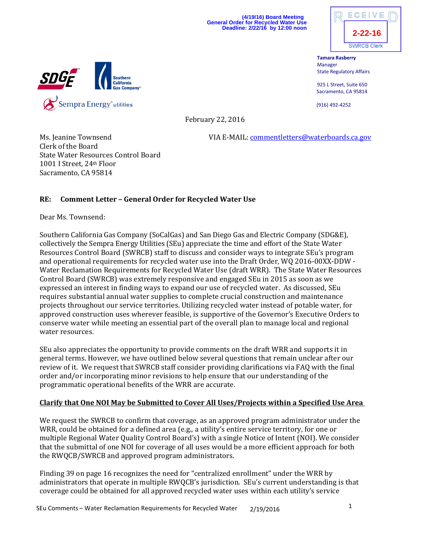**(4/19/16) Board Meeting General Order for Recycled Water Use Deadline: 2/22/16 by 12:00 noon**



**Tamara Rasberry** Manager State Regulatory Affairs

925 L Street, Suite 650 Sacramento, CA 95814

(916) 492-4252



February 22, 2016

Ms. Jeanine Townsend VIA E-MAIL: [commentletters@waterboards.ca.gov](mailto:commentletters@waterboards.ca.gov)

Clerk of the Board State Water Resources Control Board 1001 I Street, 24th Floor Sacramento, CA 95814

# **RE: Comment Letter – General Order for Recycled Water Use**

Dear Ms. Townsend:

Southern California Gas Company (SoCalGas) and San Diego Gas and Electric Company (SDG&E), collectively the Sempra Energy Utilities (SEu) appreciate the time and effort of the State Water Resources Control Board (SWRCB) staff to discuss and consider ways to integrate SEu's program and operational requirements for recycled water use into the Draft Order, WQ 2016-00XX-DDW - Water Reclamation Requirements for Recycled Water Use (draft WRR). The State Water Resources Control Board (SWRCB) was extremely responsive and engaged SEu in 2015 as soon as we expressed an interest in finding ways to expand our use of recycled water. As discussed, SEu requires substantial annual water supplies to complete crucial construction and maintenance projects throughout our service territories. Utilizing recycled water instead of potable water, for approved construction uses wherever feasible, is supportive of the Governor's Executive Orders to conserve water while meeting an essential part of the overall plan to manage local and regional water resources.

SEu also appreciates the opportunity to provide comments on the draft WRR and supports it in general terms. However, we have outlined below several questions that remain unclear after our review of it. We request that SWRCB staff consider providing clarifications via FAQ with the final order and/or incorporating minor revisions to help ensure that our understanding of the programmatic operational benefits of the WRR are accurate.

## **Clarify that One NOI May be Submitted to Cover All Uses/Projects within a Specified Use Area**

We request the SWRCB to confirm that coverage, as an approved program administrator under the WRR, could be obtained for a defined area (e.g., a utility's entire service territory, for one or multiple Regional Water Quality Control Board's) with a single Notice of Intent (NOI). We consider that the submittal of one NOI for coverage of all uses would be a more efficient approach for both the RWQCB/SWRCB and approved program administrators.

Finding 39 on page 16 recognizes the need for "centralized enrollment" under the WRR by administrators that operate in multiple RWQCB's jurisdiction. SEu's current understanding is that coverage could be obtained for all approved recycled water uses within each utility's service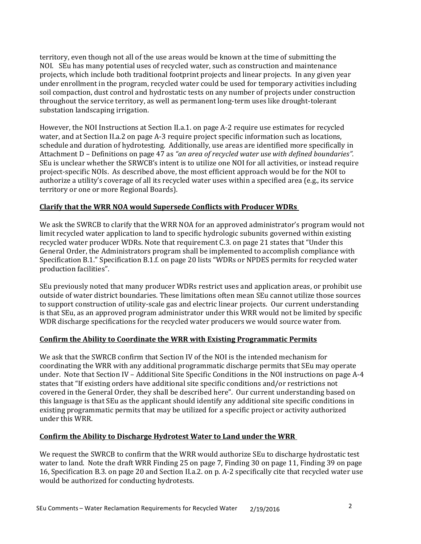territory, even though not all of the use areas would be known at the time of submitting the NOI. SEu has many potential uses of recycled water, such as construction and maintenance projects, which include both traditional footprint projects and linear projects. In any given year under enrollment in the program, recycled water could be used for temporary activities including soil compaction, dust control and hydrostatic tests on any number of projects under construction throughout the service territory, as well as permanent long-term uses like drought-tolerant substation landscaping irrigation.

However, the NOI Instructions at Section II.a.1. on page A-2 require use estimates for recycled water, and at Section II.a.2 on page A-3 require project specific information such as locations, schedule and duration of hydrotesting. Additionally, use areas are identified more specifically in Attachment D – Definitions on page 47 as *"an area of recycled water use with defined boundaries".* SEu is unclear whether the SRWCB's intent is to utilize one NOI for all activities, or instead require project-specific NOIs. As described above, the most efficient approach would be for the NOI to authorize a utility's coverage of all its recycled water uses within a specified area (e.g., its service territory or one or more Regional Boards).

## **Clarify that the WRR NOA would Supersede Conflicts with Producer WDRs**

We ask the SWRCB to clarify that the WRR NOA for an approved administrator's program would not limit recycled water application to land to specific hydrologic subunits governed within existing recycled water producer WDRs. Note that requirement C.3. on page 21 states that "Under this General Order, the Administrators program shall be implemented to accomplish compliance with Specification B.1." Specification B.1.f. on page 20 lists "WDRs or NPDES permits for recycled water production facilities".

SEu previously noted that many producer WDRs restrict uses and application areas, or prohibit use outside of water district boundaries. These limitations often mean SEu cannot utilize those sources to support construction of utility-scale gas and electric linear projects. Our current understanding is that SEu, as an approved program administrator under this WRR would not be limited by specific WDR discharge specifications for the recycled water producers we would source water from.

## **Confirm the Ability to Coordinate the WRR with Existing Programmatic Permits**

We ask that the SWRCB confirm that Section IV of the NOI is the intended mechanism for coordinating the WRR with any additional programmatic discharge permits that SEu may operate under. Note that Section IV – Additional Site Specific Conditions in the NOI instructions on page A-4 states that "If existing orders have additional site specific conditions and/or restrictions not covered in the General Order, they shall be described here". Our current understanding based on this language is that SEu as the applicant should identify any additional site specific conditions in existing programmatic permits that may be utilized for a specific project or activity authorized under this WRR.

## **Confirm the Ability to Discharge Hydrotest Water to Land under the WRR**

We request the SWRCB to confirm that the WRR would authorize SEu to discharge hydrostatic test water to land. Note the draft WRR Finding 25 on page 7, Finding 30 on page 11, Finding 39 on page 16, Specification B.3. on page 20 and Section II.a.2. on p. A-2 specifically cite that recycled water use would be authorized for conducting hydrotests.